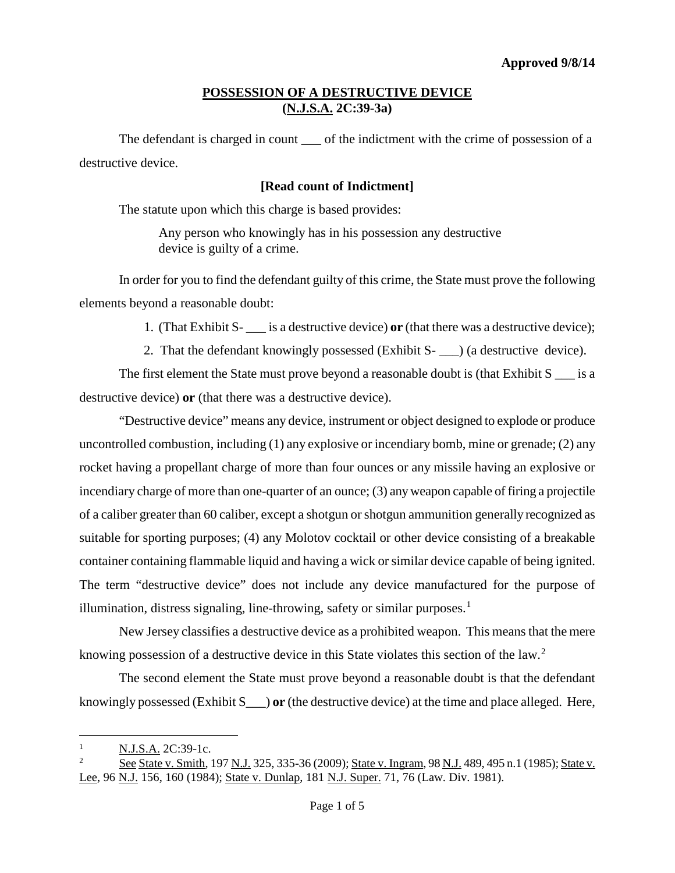The defendant is charged in count \_\_\_ of the indictment with the crime of possession of a destructive device.

### **[Read count of Indictment]**

The statute upon which this charge is based provides:

Any person who knowingly has in his possession any destructive device is guilty of a crime.

In order for you to find the defendant guilty of this crime, the State must prove the following elements beyond a reasonable doubt:

1. (That Exhibit S- \_\_\_ is a destructive device) **or** (that there was a destructive device);

2. That the defendant knowingly possessed (Exhibit S- \_\_\_) (a destructive device).

The first element the State must prove beyond a reasonable doubt is (that Exhibit  $S$   $\equiv$  is a destructive device) **or** (that there was a destructive device).

"Destructive device" means any device, instrument or object designed to explode or produce uncontrolled combustion, including  $(1)$  any explosive or incendiary bomb, mine or grenade;  $(2)$  any rocket having a propellant charge of more than four ounces or any missile having an explosive or incendiary charge of more than one-quarter of an ounce; (3) any weapon capable of firing a projectile of a caliber greater than 60 caliber, except a shotgun or shotgun ammunition generally recognized as suitable for sporting purposes; (4) any Molotov cocktail or other device consisting of a breakable container containing flammable liquid and having a wick or similar device capable of being ignited. The term "destructive device" does not include any device manufactured for the purpose of illumination, distress signaling, line-throwing, safety or similar purposes.<sup>[1](#page-0-0)</sup>

New Jersey classifies a destructive device as a prohibited weapon. This means that the mere knowing possession of a destructive device in this State violates this section of the law.<sup>[2](#page-0-1)</sup>

The second element the State must prove beyond a reasonable doubt is that the defendant knowingly possessed (Exhibit S\_\_\_) **or** (the destructive device) at the time and place alleged. Here,

<span id="page-0-0"></span>N.J.S.A. 2C:39-1c.  $\mathbf{1}$ 

<span id="page-0-1"></span>See State v. Smith, 197 N.J. 325, 335-36 (2009); State v. Ingram, 98 N.J. 489, 495 n.1 (1985); State v. Lee, 96 N.J. 156, 160 (1984); State v. Dunlap, 181 N.J. Super. 71, 76 (Law. Div. 1981).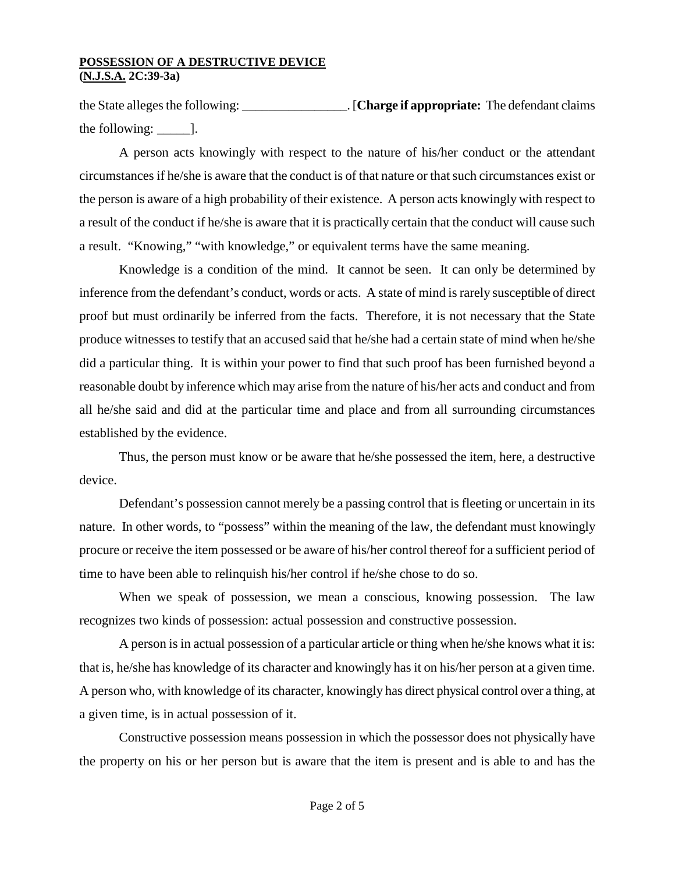the State alleges the following: \_\_\_\_\_\_\_\_\_\_\_\_\_\_\_\_. [**Charge if appropriate:** The defendant claims the following:  $\qquad$  ].

A person acts knowingly with respect to the nature of his/her conduct or the attendant circumstances if he/she is aware that the conduct is of that nature or that such circumstances exist or the person is aware of a high probability of their existence. A person acts knowingly with respect to a result of the conduct if he/she is aware that it is practically certain that the conduct will cause such a result. "Knowing," "with knowledge," or equivalent terms have the same meaning.

Knowledge is a condition of the mind. It cannot be seen. It can only be determined by inference from the defendant's conduct, words or acts. A state of mind is rarely susceptible of direct proof but must ordinarily be inferred from the facts. Therefore, it is not necessary that the State produce witnesses to testify that an accused said that he/she had a certain state of mind when he/she did a particular thing. It is within your power to find that such proof has been furnished beyond a reasonable doubt by inference which may arise from the nature of his/her acts and conduct and from all he/she said and did at the particular time and place and from all surrounding circumstances established by the evidence.

Thus, the person must know or be aware that he/she possessed the item, here, a destructive device.

Defendant's possession cannot merely be a passing control that is fleeting or uncertain in its nature. In other words, to "possess" within the meaning of the law, the defendant must knowingly procure or receive the item possessed or be aware of his/her control thereof for a sufficient period of time to have been able to relinquish his/her control if he/she chose to do so.

When we speak of possession, we mean a conscious, knowing possession. The law recognizes two kinds of possession: actual possession and constructive possession.

A person is in actual possession of a particular article or thing when he/she knows what it is: that is, he/she has knowledge of its character and knowingly has it on his/her person at a given time. A person who, with knowledge of its character, knowingly has direct physical control over a thing, at a given time, is in actual possession of it.

Constructive possession means possession in which the possessor does not physically have the property on his or her person but is aware that the item is present and is able to and has the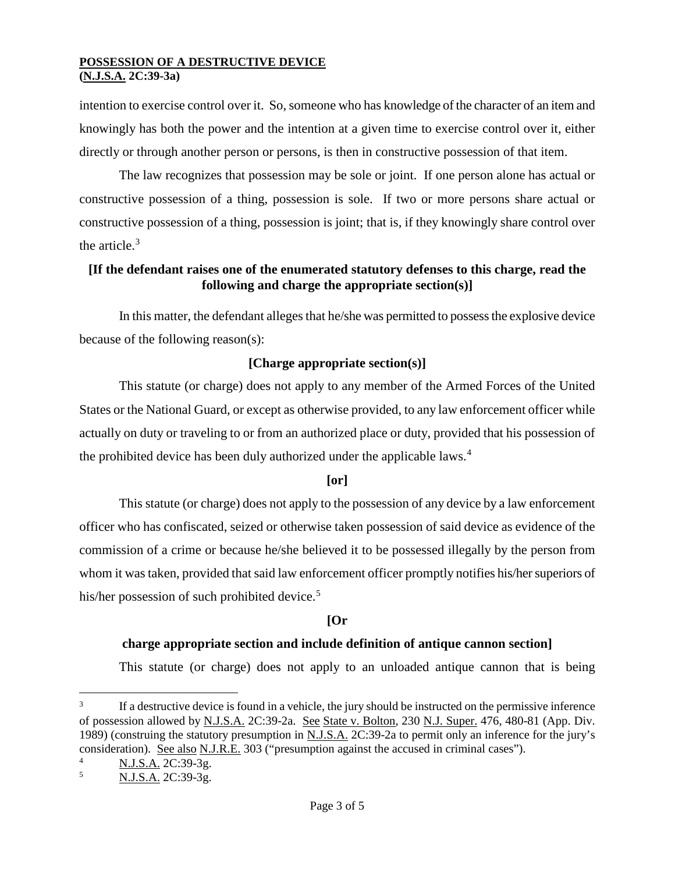intention to exercise control over it. So, someone who has knowledge of the character of an item and knowingly has both the power and the intention at a given time to exercise control over it, either directly or through another person or persons, is then in constructive possession of that item.

The law recognizes that possession may be sole or joint. If one person alone has actual or constructive possession of a thing, possession is sole. If two or more persons share actual or constructive possession of a thing, possession is joint; that is, if they knowingly share control over the article. $3$ 

### **[If the defendant raises one of the enumerated statutory defenses to this charge, read the following and charge the appropriate section(s)]**

In this matter, the defendant alleges that he/she was permitted to possess the explosive device because of the following reason(s):

# **[Charge appropriate section(s)]**

This statute (or charge) does not apply to any member of the Armed Forces of the United States or the National Guard, or except as otherwise provided, to any law enforcement officer while actually on duty or traveling to or from an authorized place or duty, provided that his possession of the prohibited device has been duly authorized under the applicable laws.<sup>[4](#page-2-1)</sup>

# **[or]**

This statute (or charge) does not apply to the possession of any device by a law enforcement officer who has confiscated, seized or otherwise taken possession of said device as evidence of the commission of a crime or because he/she believed it to be possessed illegally by the person from whom it was taken, provided that said law enforcement officer promptly notifies his/her superiors of his/her possession of such prohibited device.<sup>[5](#page-2-2)</sup>

### **[Or**

# **charge appropriate section and include definition of antique cannon section]**

This statute (or charge) does not apply to an unloaded antique cannon that is being

<span id="page-2-0"></span>If a destructive device is found in a vehicle, the jury should be instructed on the permissive inference of possession allowed by N.J.S.A. 2C:39-2a. See State v. Bolton, 230 N.J. Super. 476, 480-81 (App. Div. 1989) (construing the statutory presumption in N.J.S.A. 2C:39-2a to permit only an inference for the jury's consideration). See also N.J.R.E. 303 ("presumption against the accused in criminal cases").  $\overline{3}$ 

<span id="page-2-2"></span><span id="page-2-1"></span> $\frac{4}{5}$  N.J.S.A. 2C:39-3g.

N.J.S.A. 2C:39-3g.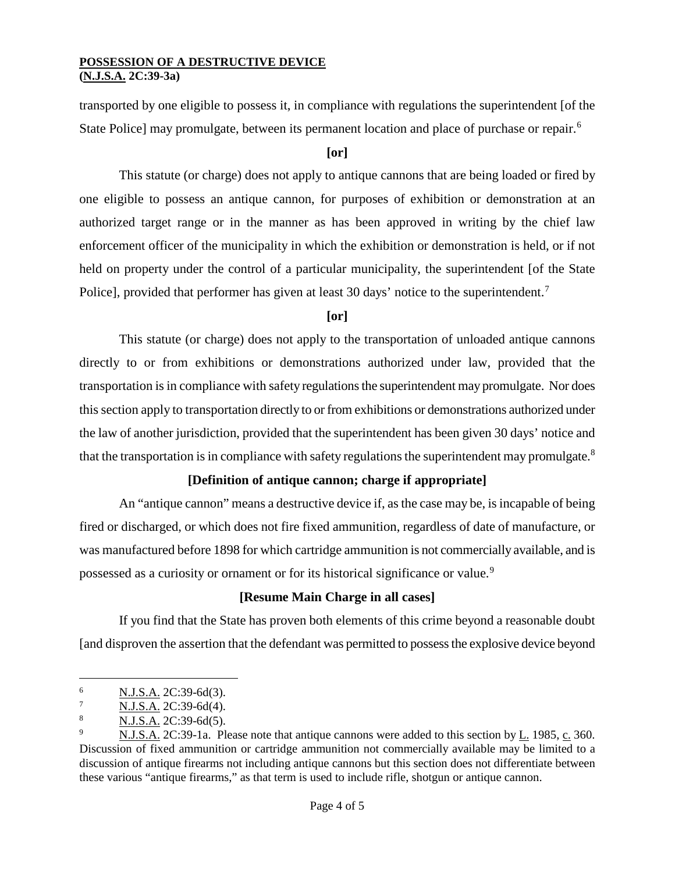transported by one eligible to possess it, in compliance with regulations the superintendent [of the State Police] may promulgate, between its permanent location and place of purchase or repair.<sup>[6](#page-3-0)</sup>

### **[or]**

This statute (or charge) does not apply to antique cannons that are being loaded or fired by one eligible to possess an antique cannon, for purposes of exhibition or demonstration at an authorized target range or in the manner as has been approved in writing by the chief law enforcement officer of the municipality in which the exhibition or demonstration is held, or if not held on property under the control of a particular municipality, the superintendent [of the State Police], provided that performer has given at least 30 days' notice to the superintendent.<sup>[7](#page-3-1)</sup>

### **[or]**

This statute (or charge) does not apply to the transportation of unloaded antique cannons directly to or from exhibitions or demonstrations authorized under law, provided that the transportation is in compliance with safety regulations the superintendent may promulgate. Nor does this section apply to transportation directly to or from exhibitions or demonstrations authorized under the law of another jurisdiction, provided that the superintendent has been given 30 days' notice and that the transportation is in compliance with safety regulations the superintendent may promulgate.<sup>[8](#page-3-2)</sup>

### **[Definition of antique cannon; charge if appropriate]**

An "antique cannon" means a destructive device if, as the case may be, is incapable of being fired or discharged, or which does not fire fixed ammunition, regardless of date of manufacture, or was manufactured before 1898 for which cartridge ammunition is not commercially available, and is possessed as a curiosity or ornament or for its historical significance or value.[9](#page-3-3)

### **[Resume Main Charge in all cases]**

If you find that the State has proven both elements of this crime beyond a reasonable doubt [and disproven the assertion that the defendant was permitted to possess the explosive device beyond

<span id="page-3-0"></span><sup>6</sup> N.J.S.A. 2C:39-6d(3).  $\overline{6}$ 

<span id="page-3-1"></span><sup>7</sup> N.J.S.A. 2C:39-6d(4).

<span id="page-3-2"></span> $\frac{8}{9}$  N.J.S.A. 2C:39-6d(5).

<span id="page-3-3"></span><sup>9</sup> N.J.S.A. 2C:39-1a. Please note that antique cannons were added to this section by L. 1985, c. 360. Discussion of fixed ammunition or cartridge ammunition not commercially available may be limited to a discussion of antique firearms not including antique cannons but this section does not differentiate between these various "antique firearms," as that term is used to include rifle, shotgun or antique cannon.